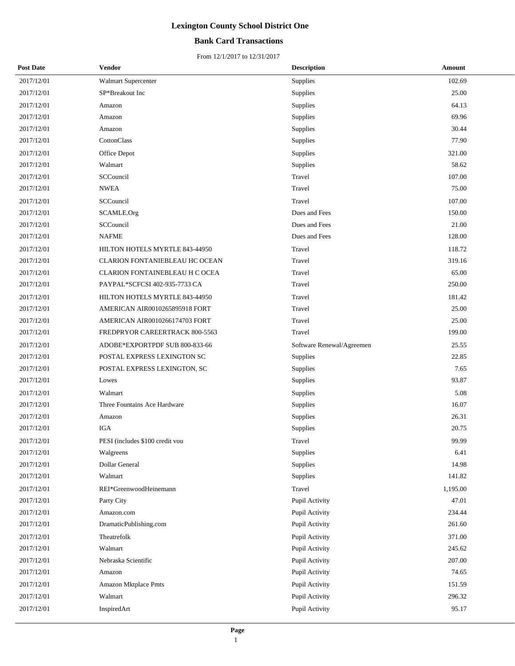## **Bank Card Transactions**

| <b>Post Date</b> | Vendor                          | <b>Description</b>        | Amount   |
|------------------|---------------------------------|---------------------------|----------|
| 2017/12/01       | Walmart Supercenter             | Supplies                  | 102.69   |
| 2017/12/01       | SP*Breakout Inc                 | Supplies                  | 25.00    |
| 2017/12/01       | Amazon                          | Supplies                  | 64.13    |
| 2017/12/01       | Amazon                          | Supplies                  | 69.96    |
| 2017/12/01       | Amazon                          | Supplies                  | 30.44    |
| 2017/12/01       | CottonClass                     | Supplies                  | 77.90    |
| 2017/12/01       | Office Depot                    | Supplies                  | 321.00   |
| 2017/12/01       | Walmart                         | Supplies                  | 58.62    |
| 2017/12/01       | SCCouncil                       | Travel                    | 107.00   |
| 2017/12/01       | <b>NWEA</b>                     | Travel                    | 75.00    |
| 2017/12/01       | SCCouncil                       | Travel                    | 107.00   |
| 2017/12/01       | SCAMLE.Org                      | Dues and Fees             | 150.00   |
| 2017/12/01       | SCCouncil                       | Dues and Fees             | 21.00    |
| 2017/12/01       | <b>NAFME</b>                    | Dues and Fees             | 128.00   |
| 2017/12/01       | HILTON HOTELS MYRTLE 843-44950  | Travel                    | 118.72   |
| 2017/12/01       | CLARION FONTANIEBLEAU HC OCEAN  | Travel                    | 319.16   |
| 2017/12/01       | CLARION FONTAINEBLEAU H C OCEA  | Travel                    | 65.00    |
| 2017/12/01       | PAYPAL*SCFCSI 402-935-7733 CA   | Travel                    | 250.00   |
| 2017/12/01       | HILTON HOTELS MYRTLE 843-44950  | Travel                    | 181.42   |
| 2017/12/01       | AMERICAN AIR0010265895918 FORT  | Travel                    | 25.00    |
| 2017/12/01       | AMERICAN AIR0010266174703 FORT  | Travel                    | 25.00    |
| 2017/12/01       | FREDPRYOR CAREERTRACK 800-5563  | Travel                    | 199.00   |
| 2017/12/01       | ADOBE*EXPORTPDF SUB 800-833-66  | Software Renewal/Agreemen | 25.55    |
| 2017/12/01       | POSTAL EXPRESS LEXINGTON SC     | <b>Supplies</b>           | 22.85    |
| 2017/12/01       | POSTAL EXPRESS LEXINGTON, SC    | Supplies                  | 7.65     |
| 2017/12/01       | Lowes                           | Supplies                  | 93.87    |
| 2017/12/01       | Walmart                         | Supplies                  | 5.08     |
| 2017/12/01       | Three Fountains Ace Hardware    | Supplies                  | 16.07    |
| 2017/12/01       | Amazon                          | Supplies                  | 26.31    |
| 2017/12/01       | <b>IGA</b>                      | Supplies                  | 20.75    |
| 2017/12/01       | PESI (includes \$100 credit vou | Travel                    | 99.99    |
| 2017/12/01       | Walgreens                       | <b>Supplies</b>           | 6.41     |
| 2017/12/01       | Dollar General                  | Supplies                  | 14.98    |
| 2017/12/01       | Walmart                         | Supplies                  | 141.82   |
| 2017/12/01       | REI*GreenwoodHeinemann          | Travel                    | 1,195.00 |
| 2017/12/01       | Party City                      | Pupil Activity            | 47.01    |
| 2017/12/01       | Amazon.com                      | Pupil Activity            | 234.44   |
| 2017/12/01       | DramaticPublishing.com          | Pupil Activity            | 261.60   |
| 2017/12/01       | Theatrefolk                     | Pupil Activity            | 371.00   |
| 2017/12/01       | Walmart                         | Pupil Activity            | 245.62   |
| 2017/12/01       | Nebraska Scientific             | Pupil Activity            | 207.00   |
| 2017/12/01       | Amazon                          | Pupil Activity            | 74.65    |
| 2017/12/01       | Amazon Mktplace Pmts            | Pupil Activity            | 151.59   |
| 2017/12/01       | Walmart                         | Pupil Activity            | 296.32   |
| 2017/12/01       | InspiredArt                     | Pupil Activity            | 95.17    |
|                  |                                 |                           |          |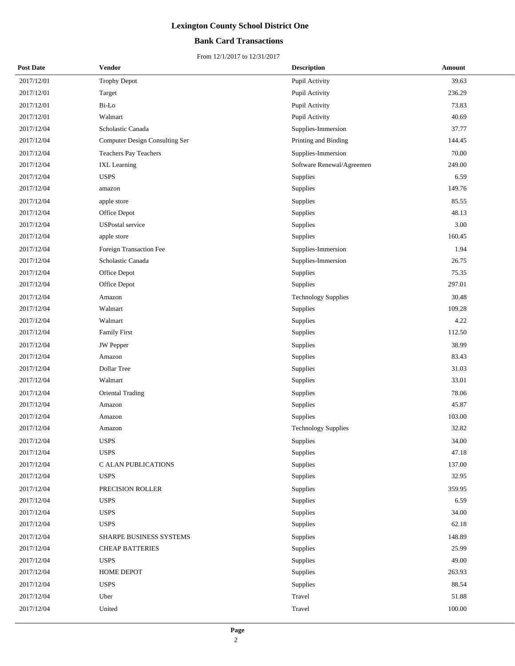## **Bank Card Transactions**

| <b>Post Date</b> | <b>Vendor</b>                  | <b>Description</b>         | Amount |
|------------------|--------------------------------|----------------------------|--------|
| 2017/12/01       | <b>Trophy Depot</b>            | Pupil Activity             | 39.63  |
| 2017/12/01       | Target                         | Pupil Activity             | 236.29 |
| 2017/12/01       | Bi-Lo                          | Pupil Activity             | 73.83  |
| 2017/12/01       | Walmart                        | Pupil Activity             | 40.69  |
| 2017/12/04       | Scholastic Canada              | Supplies-Immersion         | 37.77  |
| 2017/12/04       | Computer Design Consulting Ser | Printing and Binding       | 144.45 |
| 2017/12/04       | Teachers Pay Teachers          | Supplies-Immersion         | 70.00  |
| 2017/12/04       | <b>IXL</b> Learning            | Software Renewal/Agreemen  | 249.00 |
| 2017/12/04       | <b>USPS</b>                    | Supplies                   | 6.59   |
| 2017/12/04       | amazon                         | Supplies                   | 149.76 |
| 2017/12/04       | apple store                    | Supplies                   | 85.55  |
| 2017/12/04       | Office Depot                   | Supplies                   | 48.13  |
| 2017/12/04       | <b>USPostal</b> service        | Supplies                   | 3.00   |
| 2017/12/04       | apple store                    | Supplies                   | 160.45 |
| 2017/12/04       | Foreign Transaction Fee        | Supplies-Immersion         | 1.94   |
| 2017/12/04       | Scholastic Canada              | Supplies-Immersion         | 26.75  |
| 2017/12/04       | Office Depot                   | Supplies                   | 75.35  |
| 2017/12/04       | Office Depot                   | Supplies                   | 297.01 |
| 2017/12/04       | Amazon                         | <b>Technology Supplies</b> | 30.48  |
| 2017/12/04       | Walmart                        | Supplies                   | 109.28 |
| 2017/12/04       | Walmart                        | Supplies                   | 4.22   |
| 2017/12/04       | <b>Family First</b>            | Supplies                   | 112.50 |
| 2017/12/04       | <b>JW</b> Pepper               | Supplies                   | 38.99  |
| 2017/12/04       | Amazon                         | Supplies                   | 83.43  |
| 2017/12/04       | Dollar Tree                    | Supplies                   | 31.03  |
| 2017/12/04       | Walmart                        | Supplies                   | 33.01  |
| 2017/12/04       | Oriental Trading               | Supplies                   | 78.06  |
| 2017/12/04       | Amazon                         | Supplies                   | 45.87  |
| 2017/12/04       | Amazon                         | Supplies                   | 103.00 |
| 2017/12/04       | Amazon                         | Technology Supplies        | 32.82  |
| 2017/12/04       | <b>USPS</b>                    | Supplies                   | 34.00  |
| 2017/12/04       | <b>USPS</b>                    | Supplies                   | 47.18  |
| 2017/12/04       | C ALAN PUBLICATIONS            | Supplies                   | 137.00 |
| 2017/12/04       | <b>USPS</b>                    | Supplies                   | 32.95  |
| 2017/12/04       | PRECISION ROLLER               | Supplies                   | 359.95 |
| 2017/12/04       | <b>USPS</b>                    | Supplies                   | 6.59   |
| 2017/12/04       | <b>USPS</b>                    | Supplies                   | 34.00  |
| 2017/12/04       | <b>USPS</b>                    | Supplies                   | 62.18  |
| 2017/12/04       | SHARPE BUSINESS SYSTEMS        | Supplies                   | 148.89 |
| 2017/12/04       | <b>CHEAP BATTERIES</b>         | Supplies                   | 25.99  |
| 2017/12/04       | <b>USPS</b>                    | Supplies                   | 49.00  |
| 2017/12/04       | HOME DEPOT                     | Supplies                   | 263.93 |
| 2017/12/04       | <b>USPS</b>                    | Supplies                   | 88.54  |
| 2017/12/04       | Uber                           | Travel                     | 51.88  |
| 2017/12/04       | United                         | Travel                     | 100.00 |
|                  |                                |                            |        |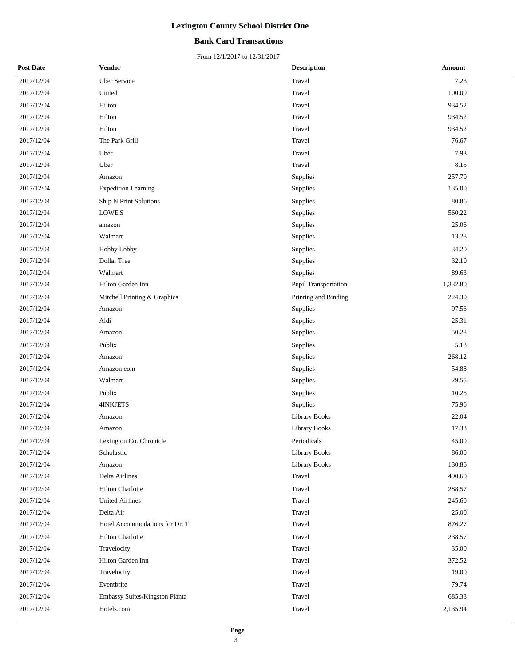## **Bank Card Transactions**

| <b>Post Date</b> | <b>Vendor</b>                  | <b>Description</b>   | Amount   |
|------------------|--------------------------------|----------------------|----------|
| 2017/12/04       | <b>Uber Service</b>            | Travel               | 7.23     |
| 2017/12/04       | United                         | Travel               | 100.00   |
| 2017/12/04       | Hilton                         | Travel               | 934.52   |
| 2017/12/04       | Hilton                         | Travel               | 934.52   |
| 2017/12/04       | Hilton                         | Travel               | 934.52   |
| 2017/12/04       | The Park Grill                 | Travel               | 76.67    |
| 2017/12/04       | Uber                           | Travel               | 7.93     |
| 2017/12/04       | Uber                           | Travel               | 8.15     |
| 2017/12/04       | Amazon                         | Supplies             | 257.70   |
| 2017/12/04       | <b>Expedition Learning</b>     | Supplies             | 135.00   |
| 2017/12/04       | Ship N Print Solutions         | Supplies             | 80.86    |
| 2017/12/04       | LOWE'S                         | Supplies             | 560.22   |
| 2017/12/04       | amazon                         | Supplies             | 25.06    |
| 2017/12/04       | Walmart                        | Supplies             | 13.28    |
| 2017/12/04       | Hobby Lobby                    | Supplies             | 34.20    |
| 2017/12/04       | <b>Dollar Tree</b>             | Supplies             | 32.10    |
| 2017/12/04       | Walmart                        | Supplies             | 89.63    |
| 2017/12/04       | Hilton Garden Inn              | Pupil Transportation | 1,332.80 |
| 2017/12/04       | Mitchell Printing & Graphics   | Printing and Binding | 224.30   |
| 2017/12/04       | Amazon                         | Supplies             | 97.56    |
| 2017/12/04       | Aldi                           | Supplies             | 25.31    |
| 2017/12/04       | Amazon                         | Supplies             | 50.28    |
| 2017/12/04       | Publix                         | Supplies             | 5.13     |
| 2017/12/04       | Amazon                         | Supplies             | 268.12   |
| 2017/12/04       | Amazon.com                     | Supplies             | 54.88    |
| 2017/12/04       | Walmart                        | Supplies             | 29.55    |
| 2017/12/04       | Publix                         | Supplies             | 10.25    |
| 2017/12/04       | <b>4INKJETS</b>                | Supplies             | 75.96    |
| 2017/12/04       | Amazon                         | <b>Library Books</b> | 22.04    |
| 2017/12/04       | Amazon                         | <b>Library Books</b> | 17.33    |
| 2017/12/04       | Lexington Co. Chronicle        | Periodicals          | 45.00    |
| 2017/12/04       | Scholastic                     | <b>Library Books</b> | 86.00    |
| 2017/12/04       | Amazon                         | <b>Library Books</b> | 130.86   |
| 2017/12/04       | Delta Airlines                 | Travel               | 490.60   |
| 2017/12/04       | <b>Hilton Charlotte</b>        | Travel               | 288.57   |
| 2017/12/04       | <b>United Airlines</b>         | Travel               | 245.60   |
| 2017/12/04       | Delta Air                      | Travel               | 25.00    |
| 2017/12/04       | Hotel Accommodations for Dr. T | Travel               | 876.27   |
| 2017/12/04       | <b>Hilton Charlotte</b>        | Travel               | 238.57   |
| 2017/12/04       | Travelocity                    | Travel               | 35.00    |
| 2017/12/04       | Hilton Garden Inn              | Travel               | 372.52   |
| 2017/12/04       | Travelocity                    | Travel               | 19.00    |
| 2017/12/04       | Eventbrite                     | Travel               | 79.74    |
| 2017/12/04       | Embassy Suites/Kingston Planta | Travel               | 685.38   |
| 2017/12/04       | Hotels.com                     | Travel               | 2,135.94 |
|                  |                                |                      |          |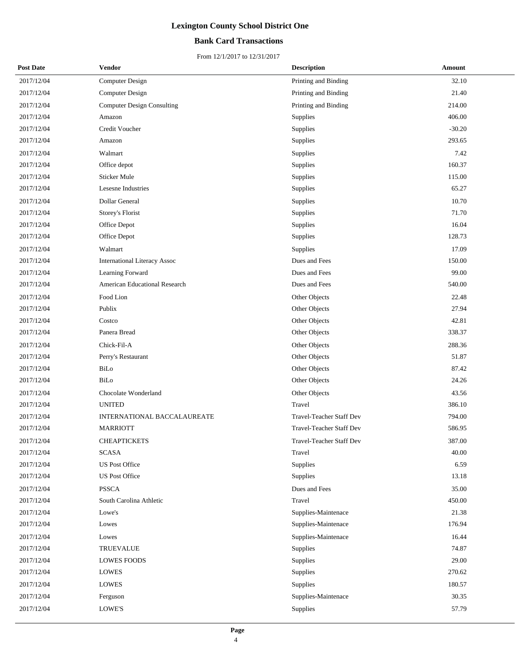## **Bank Card Transactions**

| <b>Post Date</b> | Vendor                               | <b>Description</b>              | Amount   |
|------------------|--------------------------------------|---------------------------------|----------|
| 2017/12/04       | <b>Computer Design</b>               | Printing and Binding            | 32.10    |
| 2017/12/04       | <b>Computer Design</b>               | Printing and Binding            | 21.40    |
| 2017/12/04       | <b>Computer Design Consulting</b>    | Printing and Binding            | 214.00   |
| 2017/12/04       | Amazon                               | <b>Supplies</b>                 | 406.00   |
| 2017/12/04       | Credit Voucher                       | Supplies                        | $-30.20$ |
| 2017/12/04       | Amazon                               | Supplies                        | 293.65   |
| 2017/12/04       | Walmart                              | Supplies                        | 7.42     |
| 2017/12/04       | Office depot                         | Supplies                        | 160.37   |
| 2017/12/04       | Sticker Mule                         | Supplies                        | 115.00   |
| 2017/12/04       | Lesesne Industries                   | Supplies                        | 65.27    |
| 2017/12/04       | Dollar General                       | Supplies                        | 10.70    |
| 2017/12/04       | Storey's Florist                     | Supplies                        | 71.70    |
| 2017/12/04       | Office Depot                         | Supplies                        | 16.04    |
| 2017/12/04       | Office Depot                         | Supplies                        | 128.73   |
| 2017/12/04       | Walmart                              | Supplies                        | 17.09    |
| 2017/12/04       | <b>International Literacy Assoc</b>  | Dues and Fees                   | 150.00   |
| 2017/12/04       | Learning Forward                     | Dues and Fees                   | 99.00    |
| 2017/12/04       | <b>American Educational Research</b> | Dues and Fees                   | 540.00   |
| 2017/12/04       | Food Lion                            | Other Objects                   | 22.48    |
| 2017/12/04       | Publix                               | Other Objects                   | 27.94    |
| 2017/12/04       | Costco                               | Other Objects                   | 42.81    |
| 2017/12/04       | Panera Bread                         | Other Objects                   | 338.37   |
| 2017/12/04       | Chick-Fil-A                          | Other Objects                   | 288.36   |
| 2017/12/04       | Perry's Restaurant                   | Other Objects                   | 51.87    |
| 2017/12/04       | BiLo                                 | Other Objects                   | 87.42    |
| 2017/12/04       | BiLo                                 | Other Objects                   | 24.26    |
| 2017/12/04       | Chocolate Wonderland                 | Other Objects                   | 43.56    |
| 2017/12/04       | <b>UNITED</b>                        | Travel                          | 386.10   |
| 2017/12/04       | <b>INTERNATIONAL BACCALAUREATE</b>   | <b>Travel-Teacher Staff Dev</b> | 794.00   |
| 2017/12/04       | <b>MARRIOTT</b>                      | Travel-Teacher Staff Dev        | 586.95   |
| 2017/12/04       | <b>CHEAPTICKETS</b>                  | Travel-Teacher Staff Dev        | 387.00   |
| 2017/12/04       | <b>SCASA</b>                         | Travel                          | 40.00    |
| 2017/12/04       | <b>US Post Office</b>                | Supplies                        | 6.59     |
| 2017/12/04       | <b>US Post Office</b>                | Supplies                        | 13.18    |
| 2017/12/04       | <b>PSSCA</b>                         | Dues and Fees                   | 35.00    |
| 2017/12/04       | South Carolina Athletic              | Travel                          | 450.00   |
| 2017/12/04       | Lowe's                               | Supplies-Maintenace             | 21.38    |
| 2017/12/04       | Lowes                                | Supplies-Maintenace             | 176.94   |
| 2017/12/04       | Lowes                                | Supplies-Maintenace             | 16.44    |
| 2017/12/04       | <b>TRUEVALUE</b>                     | Supplies                        | 74.87    |
| 2017/12/04       | <b>LOWES FOODS</b>                   | Supplies                        | 29.00    |
| 2017/12/04       | <b>LOWES</b>                         | Supplies                        | 270.62   |
| 2017/12/04       | <b>LOWES</b>                         | Supplies                        | 180.57   |
| 2017/12/04       | Ferguson                             | Supplies-Maintenace             | 30.35    |
| 2017/12/04       | LOWE'S                               | Supplies                        | 57.79    |
|                  |                                      |                                 |          |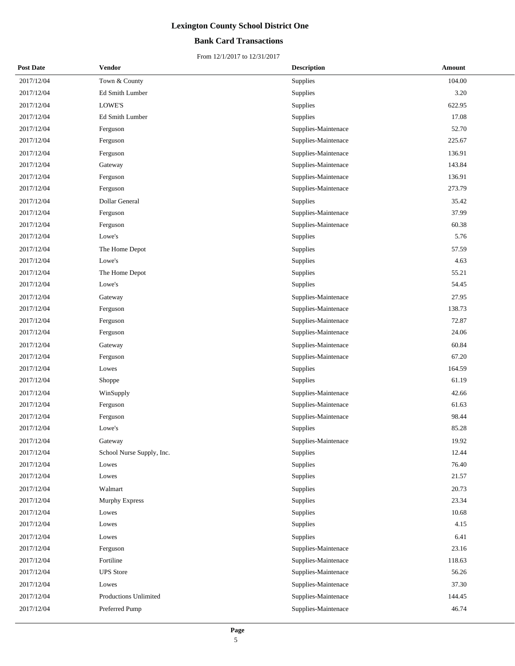## **Bank Card Transactions**

| <b>Post Date</b> | <b>Vendor</b>             | <b>Description</b>  | Amount |
|------------------|---------------------------|---------------------|--------|
| 2017/12/04       | Town & County             | Supplies            | 104.00 |
| 2017/12/04       | Ed Smith Lumber           | Supplies            | 3.20   |
| 2017/12/04       | LOWE'S                    | Supplies            | 622.95 |
| 2017/12/04       | Ed Smith Lumber           | Supplies            | 17.08  |
| 2017/12/04       | Ferguson                  | Supplies-Maintenace | 52.70  |
| 2017/12/04       | Ferguson                  | Supplies-Maintenace | 225.67 |
| 2017/12/04       | Ferguson                  | Supplies-Maintenace | 136.91 |
| 2017/12/04       | Gateway                   | Supplies-Maintenace | 143.84 |
| 2017/12/04       | Ferguson                  | Supplies-Maintenace | 136.91 |
| 2017/12/04       | Ferguson                  | Supplies-Maintenace | 273.79 |
| 2017/12/04       | Dollar General            | Supplies            | 35.42  |
| 2017/12/04       | Ferguson                  | Supplies-Maintenace | 37.99  |
| 2017/12/04       | Ferguson                  | Supplies-Maintenace | 60.38  |
| 2017/12/04       | Lowe's                    | Supplies            | 5.76   |
| 2017/12/04       | The Home Depot            | Supplies            | 57.59  |
| 2017/12/04       | Lowe's                    | Supplies            | 4.63   |
| 2017/12/04       | The Home Depot            | Supplies            | 55.21  |
| 2017/12/04       | Lowe's                    | Supplies            | 54.45  |
| 2017/12/04       | Gateway                   | Supplies-Maintenace | 27.95  |
| 2017/12/04       | Ferguson                  | Supplies-Maintenace | 138.73 |
| 2017/12/04       | Ferguson                  | Supplies-Maintenace | 72.87  |
| 2017/12/04       | Ferguson                  | Supplies-Maintenace | 24.06  |
| 2017/12/04       | Gateway                   | Supplies-Maintenace | 60.84  |
| 2017/12/04       | Ferguson                  | Supplies-Maintenace | 67.20  |
| 2017/12/04       | Lowes                     | Supplies            | 164.59 |
| 2017/12/04       | Shoppe                    | Supplies            | 61.19  |
| 2017/12/04       | WinSupply                 | Supplies-Maintenace | 42.66  |
| 2017/12/04       | Ferguson                  | Supplies-Maintenace | 61.63  |
| 2017/12/04       | Ferguson                  | Supplies-Maintenace | 98.44  |
| 2017/12/04       | Lowe's                    | Supplies            | 85.28  |
| 2017/12/04       | Gateway                   | Supplies-Maintenace | 19.92  |
| 2017/12/04       | School Nurse Supply, Inc. | Supplies            | 12.44  |
| 2017/12/04       | Lowes                     | Supplies            | 76.40  |
| 2017/12/04       | Lowes                     | Supplies            | 21.57  |
| 2017/12/04       | Walmart                   | Supplies            | 20.73  |
| 2017/12/04       | <b>Murphy Express</b>     | Supplies            | 23.34  |
| 2017/12/04       | Lowes                     | Supplies            | 10.68  |
| 2017/12/04       | Lowes                     | Supplies            | 4.15   |
| 2017/12/04       | Lowes                     | Supplies            | 6.41   |
| 2017/12/04       | Ferguson                  | Supplies-Maintenace | 23.16  |
| 2017/12/04       | Fortiline                 | Supplies-Maintenace | 118.63 |
| 2017/12/04       | <b>UPS</b> Store          | Supplies-Maintenace | 56.26  |
| 2017/12/04       | Lowes                     | Supplies-Maintenace | 37.30  |
| 2017/12/04       | Productions Unlimited     | Supplies-Maintenace | 144.45 |
| 2017/12/04       | Preferred Pump            | Supplies-Maintenace | 46.74  |
|                  |                           |                     |        |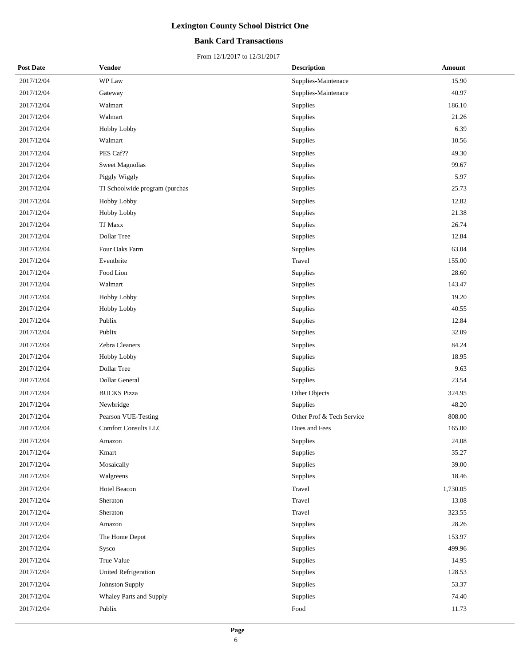## **Bank Card Transactions**

| <b>Post Date</b> | Vendor                         | <b>Description</b>        | Amount   |
|------------------|--------------------------------|---------------------------|----------|
| 2017/12/04       | WP Law                         | Supplies-Maintenace       | 15.90    |
| 2017/12/04       | Gateway                        | Supplies-Maintenace       | 40.97    |
| 2017/12/04       | Walmart                        | Supplies                  | 186.10   |
| 2017/12/04       | Walmart                        | Supplies                  | 21.26    |
| 2017/12/04       | Hobby Lobby                    | Supplies                  | 6.39     |
| 2017/12/04       | Walmart                        | Supplies                  | 10.56    |
| 2017/12/04       | PES Caf??                      | Supplies                  | 49.30    |
| 2017/12/04       | <b>Sweet Magnolias</b>         | Supplies                  | 99.67    |
| 2017/12/04       | Piggly Wiggly                  | Supplies                  | 5.97     |
| 2017/12/04       | TI Schoolwide program (purchas | Supplies                  | 25.73    |
| 2017/12/04       | Hobby Lobby                    | Supplies                  | 12.82    |
| 2017/12/04       | Hobby Lobby                    | Supplies                  | 21.38    |
| 2017/12/04       | TJ Maxx                        | Supplies                  | 26.74    |
| 2017/12/04       | Dollar Tree                    | Supplies                  | 12.84    |
| 2017/12/04       | Four Oaks Farm                 | Supplies                  | 63.04    |
| 2017/12/04       | Eventbrite                     | Travel                    | 155.00   |
| 2017/12/04       | Food Lion                      | Supplies                  | 28.60    |
| 2017/12/04       | Walmart                        | Supplies                  | 143.47   |
| 2017/12/04       | Hobby Lobby                    | Supplies                  | 19.20    |
| 2017/12/04       | Hobby Lobby                    | Supplies                  | 40.55    |
| 2017/12/04       | Publix                         | Supplies                  | 12.84    |
| 2017/12/04       | Publix                         | Supplies                  | 32.09    |
| 2017/12/04       | Zebra Cleaners                 | Supplies                  | 84.24    |
| 2017/12/04       | Hobby Lobby                    | Supplies                  | 18.95    |
| 2017/12/04       | Dollar Tree                    | Supplies                  | 9.63     |
| 2017/12/04       | Dollar General                 | Supplies                  | 23.54    |
| 2017/12/04       | <b>BUCKS Pizza</b>             | Other Objects             | 324.95   |
| 2017/12/04       | Newbridge                      | Supplies                  | 48.20    |
| 2017/12/04       | Pearson VUE-Testing            | Other Prof & Tech Service | 808.00   |
| 2017/12/04       | <b>Comfort Consults LLC</b>    | Dues and Fees             | 165.00   |
| 2017/12/04       | Amazon                         | Supplies                  | 24.08    |
| 2017/12/04       | Kmart                          | Supplies                  | 35.27    |
| 2017/12/04       | Mosaically                     | Supplies                  | 39.00    |
| 2017/12/04       | Walgreens                      | Supplies                  | 18.46    |
| 2017/12/04       | Hotel Beacon                   | Travel                    | 1,730.05 |
| 2017/12/04       | Sheraton                       | Travel                    | 13.08    |
| 2017/12/04       | Sheraton                       | Travel                    | 323.55   |
| 2017/12/04       | Amazon                         | Supplies                  | 28.26    |
| 2017/12/04       | The Home Depot                 | Supplies                  | 153.97   |
| 2017/12/04       | Sysco                          | Supplies                  | 499.96   |
| 2017/12/04       | True Value                     | Supplies                  | 14.95    |
| 2017/12/04       | United Refrigeration           | Supplies                  | 128.53   |
| 2017/12/04       | Johnston Supply                | Supplies                  | 53.37    |
| 2017/12/04       | Whaley Parts and Supply        | Supplies                  | 74.40    |
| 2017/12/04       | Publix                         | Food                      | 11.73    |
|                  |                                |                           |          |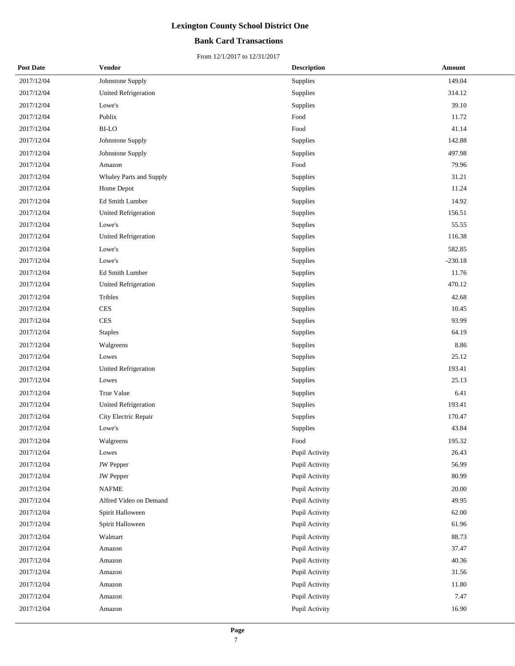## **Bank Card Transactions**

| <b>Post Date</b> | <b>Vendor</b>               | <b>Description</b> | Amount    |
|------------------|-----------------------------|--------------------|-----------|
| 2017/12/04       | Johnstone Supply            | Supplies           | 149.04    |
| 2017/12/04       | <b>United Refrigeration</b> | Supplies           | 314.12    |
| 2017/12/04       | Lowe's                      | Supplies           | 39.10     |
| 2017/12/04       | Publix                      | Food               | 11.72     |
| 2017/12/04       | <b>BI-LO</b>                | Food               | 41.14     |
| 2017/12/04       | Johnstone Supply            | Supplies           | 142.88    |
| 2017/12/04       | Johnstone Supply            | Supplies           | 497.98    |
| 2017/12/04       | Amazon                      | Food               | 79.96     |
| 2017/12/04       | Whaley Parts and Supply     | Supplies           | 31.21     |
| 2017/12/04       | Home Depot                  | Supplies           | 11.24     |
| 2017/12/04       | Ed Smith Lumber             | Supplies           | 14.92     |
| 2017/12/04       | <b>United Refrigeration</b> | Supplies           | 156.51    |
| 2017/12/04       | Lowe's                      | Supplies           | 55.55     |
| 2017/12/04       | United Refrigeration        | Supplies           | 116.38    |
| 2017/12/04       | Lowe's                      | Supplies           | 582.85    |
| 2017/12/04       | Lowe's                      | Supplies           | $-230.18$ |
| 2017/12/04       | Ed Smith Lumber             | Supplies           | 11.76     |
| 2017/12/04       | <b>United Refrigeration</b> | Supplies           | 470.12    |
| 2017/12/04       | Tribles                     | Supplies           | 42.68     |
| 2017/12/04       | <b>CES</b>                  | Supplies           | 10.45     |
| 2017/12/04       | <b>CES</b>                  | Supplies           | 93.99     |
| 2017/12/04       | <b>Staples</b>              | Supplies           | 64.19     |
| 2017/12/04       | Walgreens                   | Supplies           | 8.86      |
| 2017/12/04       | Lowes                       | Supplies           | 25.12     |
| 2017/12/04       | United Refrigeration        | Supplies           | 193.41    |
| 2017/12/04       | Lowes                       | Supplies           | 25.13     |
| 2017/12/04       | True Value                  | Supplies           | 6.41      |
| 2017/12/04       | <b>United Refrigeration</b> | Supplies           | 193.41    |
| 2017/12/04       | City Electric Repair        | Supplies           | 170.47    |
| 2017/12/04       | Lowe's                      | Supplies           | 43.84     |
| 2017/12/04       | Walgreens                   | Food               | 195.32    |
| 2017/12/04       | Lowes                       | Pupil Activity     | 26.43     |
| 2017/12/04       | <b>JW</b> Pepper            | Pupil Activity     | 56.99     |
| 2017/12/04       | JW Pepper                   | Pupil Activity     | 80.99     |
| 2017/12/04       | <b>NAFME</b>                | Pupil Activity     | 20.00     |
| 2017/12/04       | Alfred Video on Demand      | Pupil Activity     | 49.95     |
| 2017/12/04       | Spirit Halloween            | Pupil Activity     | 62.00     |
| 2017/12/04       | Spirit Halloween            | Pupil Activity     | 61.96     |
| 2017/12/04       | Walmart                     | Pupil Activity     | 88.73     |
| 2017/12/04       | Amazon                      | Pupil Activity     | 37.47     |
| 2017/12/04       | Amazon                      | Pupil Activity     | 40.36     |
| 2017/12/04       | Amazon                      | Pupil Activity     | 31.56     |
| 2017/12/04       | Amazon                      | Pupil Activity     | 11.80     |
| 2017/12/04       | Amazon                      | Pupil Activity     | 7.47      |
| 2017/12/04       | Amazon                      | Pupil Activity     | 16.90     |
|                  |                             |                    |           |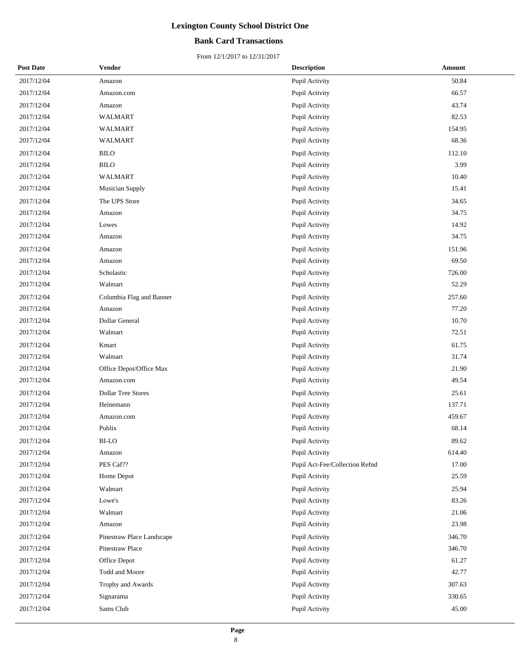## **Bank Card Transactions**

| <b>Post Date</b> | <b>Vendor</b>             | <b>Description</b>             | Amount |
|------------------|---------------------------|--------------------------------|--------|
| 2017/12/04       | Amazon                    | Pupil Activity                 | 50.84  |
| 2017/12/04       | Amazon.com                | Pupil Activity                 | 66.57  |
| 2017/12/04       | Amazon                    | Pupil Activity                 | 43.74  |
| 2017/12/04       | <b>WALMART</b>            | Pupil Activity                 | 82.53  |
| 2017/12/04       | <b>WALMART</b>            | Pupil Activity                 | 154.95 |
| 2017/12/04       | WALMART                   | Pupil Activity                 | 68.36  |
| 2017/12/04       | <b>BILO</b>               | Pupil Activity                 | 112.10 |
| 2017/12/04       | <b>BILO</b>               | Pupil Activity                 | 3.99   |
| 2017/12/04       | WALMART                   | Pupil Activity                 | 10.40  |
| 2017/12/04       | Musician Supply           | Pupil Activity                 | 15.41  |
| 2017/12/04       | The UPS Store             | Pupil Activity                 | 34.65  |
| 2017/12/04       | Amazon                    | Pupil Activity                 | 34.75  |
| 2017/12/04       | Lowes                     | Pupil Activity                 | 14.92  |
| 2017/12/04       | Amazon                    | Pupil Activity                 | 34.75  |
| 2017/12/04       | Amazon                    | Pupil Activity                 | 151.96 |
| 2017/12/04       | Amazon                    | Pupil Activity                 | 69.50  |
| 2017/12/04       | Scholastic                | Pupil Activity                 | 726.00 |
| 2017/12/04       | Walmart                   | Pupil Activity                 | 52.29  |
| 2017/12/04       | Columbia Flag and Banner  | Pupil Activity                 | 257.60 |
| 2017/12/04       | Amazon                    | Pupil Activity                 | 77.20  |
| 2017/12/04       | Dollar General            | Pupil Activity                 | 10.70  |
| 2017/12/04       | Walmart                   | Pupil Activity                 | 72.51  |
| 2017/12/04       | Kmart                     | Pupil Activity                 | 61.75  |
| 2017/12/04       | Walmart                   | Pupil Activity                 | 31.74  |
| 2017/12/04       | Office Depot/Office Max   | Pupil Activity                 | 21.90  |
| 2017/12/04       | Amazon.com                | Pupil Activity                 | 49.54  |
| 2017/12/04       | <b>Dollar Tree Stores</b> | Pupil Activity                 | 25.61  |
| 2017/12/04       | Heinemann                 | Pupil Activity                 | 137.71 |
| 2017/12/04       | Amazon.com                | Pupil Activity                 | 459.67 |
| 2017/12/04       | Publix                    | Pupil Activity                 | 68.14  |
| 2017/12/04       | BI-LO                     | Pupil Activity                 | 89.62  |
| 2017/12/04       | Amazon                    | Pupil Activity                 | 614.40 |
| 2017/12/04       | PES Caf??                 | Pupil Act-Fee/Collection Refnd | 17.00  |
| 2017/12/04       | Home Depot                | Pupil Activity                 | 25.59  |
| 2017/12/04       | Walmart                   | Pupil Activity                 | 25.94  |
| 2017/12/04       | Lowe's                    | Pupil Activity                 | 83.26  |
| 2017/12/04       | Walmart                   | Pupil Activity                 | 21.06  |
| 2017/12/04       | Amazon                    | Pupil Activity                 | 23.98  |
| 2017/12/04       | Pinestraw Place Landscape | Pupil Activity                 | 346.70 |
| 2017/12/04       | Pinestraw Place           | Pupil Activity                 | 346.70 |
| 2017/12/04       | Office Depot              | Pupil Activity                 | 61.27  |
| 2017/12/04       | Todd and Moore            | Pupil Activity                 | 42.77  |
| 2017/12/04       | Trophy and Awards         | Pupil Activity                 | 307.63 |
| 2017/12/04       | Signarama                 | Pupil Activity                 | 330.65 |
| 2017/12/04       | Sams Club                 | Pupil Activity                 | 45.00  |
|                  |                           |                                |        |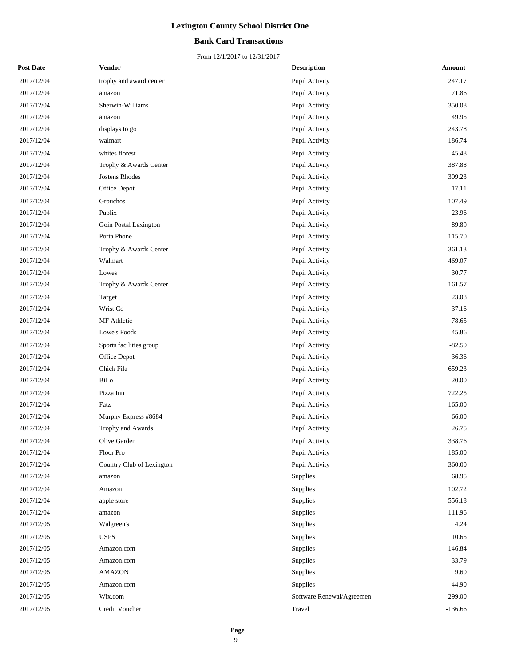## **Bank Card Transactions**

| <b>Post Date</b> | Vendor                    | <b>Description</b>        | Amount    |
|------------------|---------------------------|---------------------------|-----------|
| 2017/12/04       | trophy and award center   | Pupil Activity            | 247.17    |
| 2017/12/04       | amazon                    | Pupil Activity            | 71.86     |
| 2017/12/04       | Sherwin-Williams          | Pupil Activity            | 350.08    |
| 2017/12/04       | amazon                    | Pupil Activity            | 49.95     |
| 2017/12/04       | displays to go            | Pupil Activity            | 243.78    |
| 2017/12/04       | walmart                   | Pupil Activity            | 186.74    |
| 2017/12/04       | whites florest            | Pupil Activity            | 45.48     |
| 2017/12/04       | Trophy & Awards Center    | Pupil Activity            | 387.88    |
| 2017/12/04       | Jostens Rhodes            | Pupil Activity            | 309.23    |
| 2017/12/04       | Office Depot              | Pupil Activity            | 17.11     |
| 2017/12/04       | Grouchos                  | Pupil Activity            | 107.49    |
| 2017/12/04       | Publix                    | Pupil Activity            | 23.96     |
| 2017/12/04       | Goin Postal Lexington     | Pupil Activity            | 89.89     |
| 2017/12/04       | Porta Phone               | Pupil Activity            | 115.70    |
| 2017/12/04       | Trophy & Awards Center    | Pupil Activity            | 361.13    |
| 2017/12/04       | Walmart                   | Pupil Activity            | 469.07    |
| 2017/12/04       | Lowes                     | Pupil Activity            | 30.77     |
| 2017/12/04       | Trophy & Awards Center    | Pupil Activity            | 161.57    |
| 2017/12/04       | Target                    | Pupil Activity            | 23.08     |
| 2017/12/04       | Wrist Co                  | Pupil Activity            | 37.16     |
| 2017/12/04       | MF Athletic               | Pupil Activity            | 78.65     |
| 2017/12/04       | Lowe's Foods              | Pupil Activity            | 45.86     |
| 2017/12/04       | Sports facilities group   | Pupil Activity            | $-82.50$  |
| 2017/12/04       | Office Depot              | Pupil Activity            | 36.36     |
| 2017/12/04       | Chick Fila                | Pupil Activity            | 659.23    |
| 2017/12/04       | BiLo                      | Pupil Activity            | 20.00     |
| 2017/12/04       | Pizza Inn                 | Pupil Activity            | 722.25    |
| 2017/12/04       | Fatz                      | Pupil Activity            | 165.00    |
| 2017/12/04       | Murphy Express #8684      | Pupil Activity            | 66.00     |
| 2017/12/04       | Trophy and Awards         | Pupil Activity            | 26.75     |
| 2017/12/04       | Olive Garden              | Pupil Activity            | 338.76    |
| 2017/12/04       | Floor Pro                 | Pupil Activity            | 185.00    |
| 2017/12/04       | Country Club of Lexington | Pupil Activity            | 360.00    |
| 2017/12/04       | amazon                    | Supplies                  | 68.95     |
| 2017/12/04       | Amazon                    | Supplies                  | 102.72    |
| 2017/12/04       | apple store               | Supplies                  | 556.18    |
| 2017/12/04       | amazon                    | Supplies                  | 111.96    |
| 2017/12/05       | Walgreen's                | Supplies                  | 4.24      |
| 2017/12/05       | <b>USPS</b>               | Supplies                  | 10.65     |
| 2017/12/05       | Amazon.com                | Supplies                  | 146.84    |
| 2017/12/05       | Amazon.com                | Supplies                  | 33.79     |
| 2017/12/05       | <b>AMAZON</b>             | Supplies                  | 9.60      |
| 2017/12/05       | Amazon.com                | Supplies                  | 44.90     |
| 2017/12/05       | Wix.com                   | Software Renewal/Agreemen | 299.00    |
| 2017/12/05       | Credit Voucher            | Travel                    | $-136.66$ |
|                  |                           |                           |           |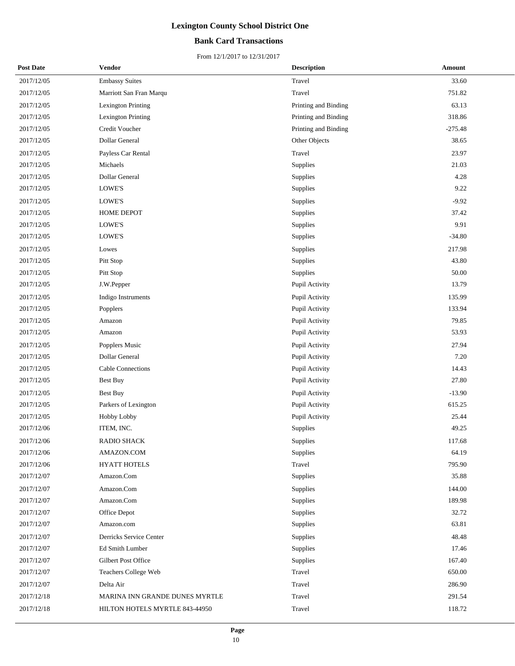## **Bank Card Transactions**

| <b>Post Date</b> | Vendor                         | <b>Description</b>   | Amount    |
|------------------|--------------------------------|----------------------|-----------|
| 2017/12/05       | <b>Embassy Suites</b>          | Travel               | 33.60     |
| 2017/12/05       | Marriott San Fran Marqu        | Travel               | 751.82    |
| 2017/12/05       | <b>Lexington Printing</b>      | Printing and Binding | 63.13     |
| 2017/12/05       | <b>Lexington Printing</b>      | Printing and Binding | 318.86    |
| 2017/12/05       | Credit Voucher                 | Printing and Binding | $-275.48$ |
| 2017/12/05       | Dollar General                 | Other Objects        | 38.65     |
| 2017/12/05       | Payless Car Rental             | Travel               | 23.97     |
| 2017/12/05       | Michaels                       | Supplies             | 21.03     |
| 2017/12/05       | Dollar General                 | Supplies             | 4.28      |
| 2017/12/05       | LOWE'S                         | Supplies             | 9.22      |
| 2017/12/05       | LOWE'S                         | Supplies             | $-9.92$   |
| 2017/12/05       | HOME DEPOT                     | Supplies             | 37.42     |
| 2017/12/05       | LOWE'S                         | Supplies             | 9.91      |
| 2017/12/05       | <b>LOWE'S</b>                  | Supplies             | $-34.80$  |
| 2017/12/05       | Lowes                          | Supplies             | 217.98    |
| 2017/12/05       | Pitt Stop                      | Supplies             | 43.80     |
| 2017/12/05       | Pitt Stop                      | Supplies             | 50.00     |
| 2017/12/05       | J.W.Pepper                     | Pupil Activity       | 13.79     |
| 2017/12/05       | Indigo Instruments             | Pupil Activity       | 135.99    |
| 2017/12/05       | Popplers                       | Pupil Activity       | 133.94    |
| 2017/12/05       | Amazon                         | Pupil Activity       | 79.85     |
| 2017/12/05       | Amazon                         | Pupil Activity       | 53.93     |
| 2017/12/05       | Popplers Music                 | Pupil Activity       | 27.94     |
| 2017/12/05       | Dollar General                 | Pupil Activity       | 7.20      |
| 2017/12/05       | Cable Connections              | Pupil Activity       | 14.43     |
| 2017/12/05       | <b>Best Buy</b>                | Pupil Activity       | 27.80     |
| 2017/12/05       | <b>Best Buy</b>                | Pupil Activity       | $-13.90$  |
| 2017/12/05       | Parkers of Lexington           | Pupil Activity       | 615.25    |
| 2017/12/05       | Hobby Lobby                    | Pupil Activity       | 25.44     |
| 2017/12/06       | ITEM, INC.                     | Supplies             | 49.25     |
| 2017/12/06       | <b>RADIO SHACK</b>             | Supplies             | 117.68    |
| 2017/12/06       | AMAZON.COM                     | Supplies             | 64.19     |
| 2017/12/06       | HYATT HOTELS                   | Travel               | 795.90    |
| 2017/12/07       | Amazon.Com                     | Supplies             | 35.88     |
| 2017/12/07       | Amazon.Com                     | Supplies             | 144.00    |
| 2017/12/07       | Amazon.Com                     | Supplies             | 189.98    |
| 2017/12/07       | Office Depot                   | Supplies             | 32.72     |
| 2017/12/07       | Amazon.com                     | Supplies             | 63.81     |
| 2017/12/07       | Derricks Service Center        | Supplies             | 48.48     |
| 2017/12/07       | Ed Smith Lumber                | Supplies             | 17.46     |
| 2017/12/07       | Gilbert Post Office            | Supplies             | 167.40    |
| 2017/12/07       | Teachers College Web           | Travel               | 650.00    |
| 2017/12/07       | Delta Air                      | Travel               | 286.90    |
| 2017/12/18       | MARINA INN GRANDE DUNES MYRTLE | Travel               | 291.54    |
| 2017/12/18       | HILTON HOTELS MYRTLE 843-44950 | Travel               | 118.72    |
|                  |                                |                      |           |